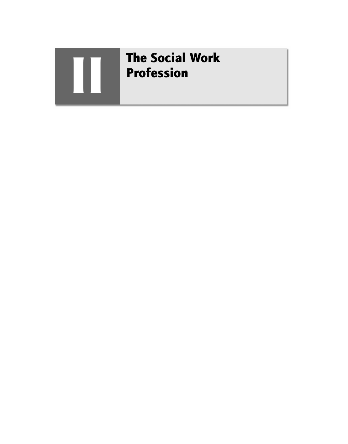

# **The Social Work** Profession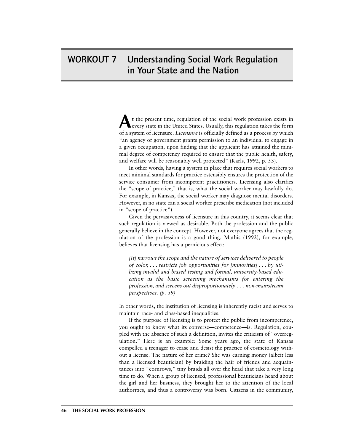# WORKOUT 7 Understanding Social Work Regulation in Your State and the Nation

**A**<sup>t</sup> the present time, regulation of the social work profession exists in every state in the United States. Usually, this regulation takes the form of a system of licensure. *Licensure* is officially defined as a process by which "an agency of government grants permission to an individual to engage in a given occupation, upon finding that the applicant has attained the minimal degree of competency required to ensure that the public health, safety, and welfare will be reasonably well protected" (Karls, 1992, p. 53).

In other words, having a system in place that requires social workers to meet minimal standards for practice ostensibly ensures the protection of the service consumer from incompetent practitioners. Licensing also clarifies the "scope of practice," that is, what the social worker may lawfully do. For example, in Kansas, the social worker may diagnose mental disorders. However, in no state can a social worker prescribe medication (not included in "scope of practice").

Given the pervasiveness of licensure in this country, it seems clear that such regulation is viewed as desirable. Both the profession and the public generally believe in the concept. However, not everyone agrees that the regulation of the profession is a good thing. Mathis (1992), for example, believes that licensing has a pernicious effect:

*[It] narrows the scope and the nature of services delivered to people of color, ... restricts job opportunities for [minorities] ... by utilizing invalid and biased testing and formal, university-based education as the basic screening mechanisms for entering the profession, and screens out disproportionately ... non-mainstream perspectives. (p. 59)*

In other words, the institution of licensing is inherently racist and serves to maintain race- and class-based inequalities.

If the purpose of licensing is to protect the public from incompetence, you ought to know what its converse—competence—is. Regulation, coupled with the absence of such a definition, invites the criticism of "overregulation." Here is an example: Some years ago, the state of Kansas compelled a teenager to cease and desist the practice of cosmetology without a license. The nature of her crime? She was earning money (albeit less than a licensed beautician) by braiding the hair of friends and acquaintances into "cornrows," tiny braids all over the head that take a very long time to do. When a group of licensed, professional beauticians heard about the girl and her business, they brought her to the attention of the local authorities, and thus a controversy was born. Citizens in the community,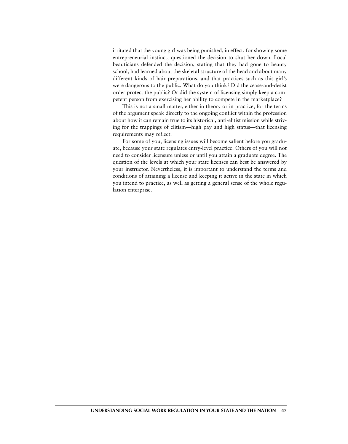irritated that the young girl was being punished, in effect, for showing some entrepreneurial instinct, questioned the decision to shut her down. Local beauticians defended the decision, stating that they had gone to beauty school, had learned about the skeletal structure of the head and about many different kinds of hair preparations, and that practices such as this girl's were dangerous to the public. What do you think? Did the cease-and-desist order protect the public? Or did the system of licensing simply keep a competent person from exercising her ability to compete in the marketplace?

This is not a small matter, either in theory or in practice, for the terms of the argument speak directly to the ongoing conflict within the profession about how it can remain true to its historical, anti-elitist mission while striving for the trappings of elitism—high pay and high status—that licensing requirements may reflect.

For some of you, licensing issues will become salient before you graduate, because your state regulates entry-level practice. Others of you will not need to consider licensure unless or until you attain a graduate degree. The question of the levels at which your state licenses can best be answered by your instructor. Nevertheless, it is important to understand the terms and conditions of attaining a license and keeping it active in the state in which you intend to practice, as well as getting a general sense of the whole regulation enterprise.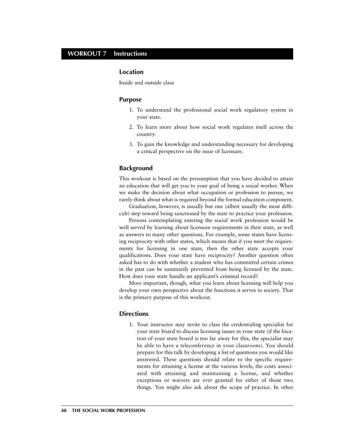# **WORKOUT 7 Instructions**

### **Location**

Inside and outside class

#### **Purpose**

- 1. To understand the professional social work regulatory system in your state.
- 2. To learn more about how social work regulates itself across the country.
- 3. To gain the knowledge and understanding necessary for developing a critical perspective on the issue of licensure.

#### **Background**

This workout is based on the presumption that you have decided to attain an education that will get you to your goal of being a social worker. When we make the decision about what occupation or profession to pursue, we rarely think about what is required beyond the formal education component.

Graduation, however, is usually but one (albeit usually the most difficult) step toward being sanctioned by the state to practice your profession.

Persons contemplating entering the social work profession would be well served by learning about licensure requirements in their state, as well as answers to many other questions. For example, some states have licensing reciprocity with other states, which means that if you meet the requirements for licensing in one state, then the other state accepts your qualifications. Does your state have reciprocity? Another question often asked has to do with whether a student who has committed certain crimes in the past can be summarily prevented from being licensed by the state. How does your state handle an applicant's criminal record?

More important, though, what you learn about licensing will help you develop your own perspective about the functions it serves in society. That is the primary purpose of this workout.

#### **Directions**

1. Your instructor may invite to class the credentialing specialist for your state board to discuss licensing issues in your state (if the location of your state board is too far away for this, the specialist may be able to have a teleconference in your classroom). You should prepare for this talk by developing a list of questions you would like answered. These questions should relate to the specific requirements for attaining a license at the various levels, the costs associated with attaining and maintaining a license, and whether exceptions or waivers are ever granted for either of those two things. You might also ask about the scope of practice. In other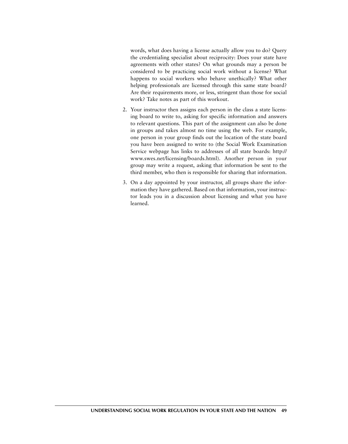words, what does having a license actually allow you to do? Query the credentialing specialist about reciprocity: Does your state have agreements with other states? On what grounds may a person be considered to be practicing social work without a license? What happens to social workers who behave unethically? What other helping professionals are licensed through this same state board? Are their requirements more, or less, stringent than those for social work? Take notes as part of this workout.

- 2. Your instructor then assigns each person in the class a state licensing board to write to, asking for specific information and answers to relevant questions. This part of the assignment can also be done in groups and takes almost no time using the web. For example, one person in your group finds out the location of the state board you have been assigned to write to (the Social Work Examination Service webpage has links to addresses of all state boards: http:// www.swes.net/licensing/boards.html). Another person in your group may write a request, asking that information be sent to the third member, who then is responsible for sharing that information.
- 3. On a day appointed by your instructor, all groups share the information they have gathered. Based on that information, your instructor leads you in a discussion about licensing and what you have learned.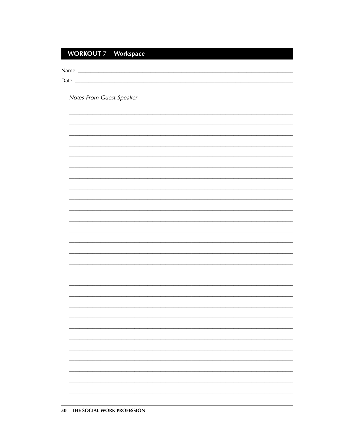# **WORKOUT 7 Workspace**

Notes From Guest Speaker

 $\overline{\phantom{0}}$ 

<u> 1989 - Johann Stoff, Amerikaansk politiker († 1958)</u>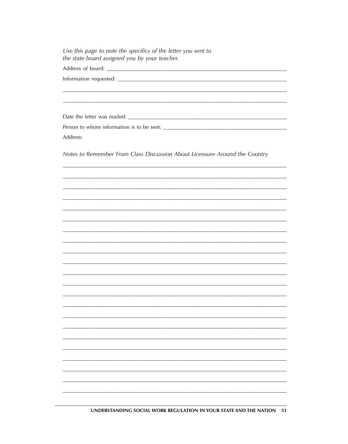Use this page to note the specifics of the letter you sent to the state board assigned you by your teacher.

Address:

Notes to Remember From Class Discussion About Licensure Around the Country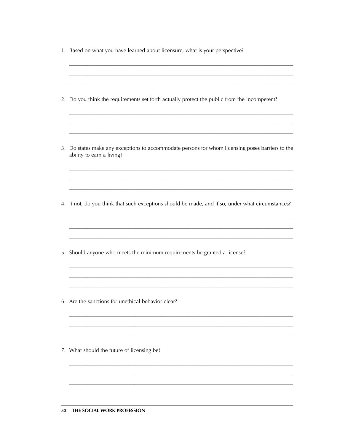| 1. Based on what you have learned about licensure, what is your perspective?                                                  |
|-------------------------------------------------------------------------------------------------------------------------------|
| 2. Do you think the requirements set forth actually protect the public from the incompetent?                                  |
| 3. Do states make any exceptions to accommodate persons for whom licensing poses barriers to the<br>ability to earn a living? |
| 4. If not, do you think that such exceptions should be made, and if so, under what circumstances?                             |
| 5. Should anyone who meets the minimum requirements be granted a license?                                                     |
| 6. Are the sanctions for unethical behavior clear?                                                                            |
| 7. What should the future of licensing be?                                                                                    |
|                                                                                                                               |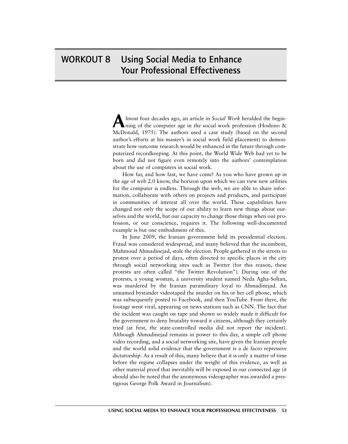# WORKOUT 8 Using Social Media to Enhance Your Professional Effectiveness

Almost four decades ago, an article in *Social Work* heralded the begin-<br>hing of the computer age in the social work profession (Hoshino & McDonald, 1975). The authors used a case study (based on the second author's efforts at his master's in social work field placement) to demonstrate how outcome research would be enhanced in the future through computerized recordkeeping. At this point, the World Wide Web had yet to be born and did not figure even remotely into the authors' contemplation about the use of computers in social work.

How far, and how fast, we have come! As you who have grown up in the age of web 2.0 know, the horizon upon which we can view new utilities for the computer is endless. Through the web, we are able to share information, collaborate with others on projects and products, and participate in communities of interest all over the world. These capabilities have changed not only the scope of our ability to learn new things about ourselves and the world, but our capacity to change those things when our profession, or our conscience, requires it. The following well-documented example is but one embodiment of this.

In June 2009, the Iranian government held its presidential election. Fraud was considered widespread, and many believed that the incumbent, Mahmoud Ahmadinejad, stole the election. People gathered in the streets to protest over a period of days, often directed to specific places in the city through social networking sites such as Twitter (for this reason, these protests are often called "the Twitter Revolution"). During one of the protests, a young woman, a university student named Neda Agha-Soltan, was murdered by the Iranian paramilitary loyal to Ahmadinejad. An unnamed bystander videotaped the murder on his or her cell phone, which was subsequently posted to Facebook, and then YouTube. From there, the footage went viral, appearing on news stations such as CNN. The fact that the incident was caught on tape and shown so widely made it difficult for the government to deny brutality toward it citizens, although they certainly tried (at first, the state-controlled media did not report the incident). Although Ahmadinejad remains in power to this day, a simple cell phone video recording, and a social networking site, have given the Iranian people and the world solid evidence that the government is a de facto repressive dictatorship. As a result of this, many believe that it is only a matter of time before the regime collapses under the weight of this evidence, as well as other material proof that inevitably will be exposed in our connected age (it should also be noted that the anonymous videographer was awarded a prestigious George Polk Award in Journalism).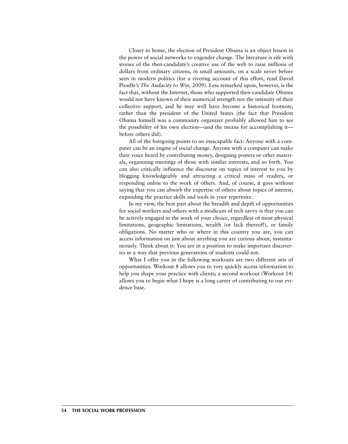Closer to home, the election of President Obama is an object lesson in the power of social networks to engender change. The literature is rife with stories of the then-candidate's creative use of the web to raise millions of dollars from ordinary citizens, in small amounts, on a scale never before seen in modern politics (for a riveting account of this effort, read David Plouffe's *The Audacity to Win,* 2009). Less remarked upon, however, is the fact that, without the Internet, those who supported then-candidate Obama would not have known of their numerical strength nor the intensity of their collective support, and he may well have become a historical footnote, rather than the president of the United States (the fact that President Obama himself was a community organizer probably allowed him to see the possibility of his own election—and the means for accomplishing it before others did).

All of the foregoing points to an inescapable fact: Anyone with a computer can be an engine of social change. Anyone with a computer can make their voice heard by contributing money, designing posters or other materials, organizing meetings of those with similar interests, and so forth. You can also critically influence the discourse on topics of interest to you by blogging knowledgeably and attracting a critical mass of readers, or responding online to the work of others. And, of course, it goes without saying that you can absorb the expertise of others about topics of interest, expanding the practice skills and tools in your repertoire.

In my view, the best part about the breadth and depth of opportunities for social workers and others with a modicum of tech savvy is that you can be actively engaged in the work of your choice, regardless of most physical limitations, geographic limitations, wealth (or lack thereof!), or family obligations. No matter who or where in this country you are, you can access information on just about anything you are curious about, instantaneously. Think about it: You are in a position to make important discoveries in a way that previous generations of students could not.

What I offer you in the following workouts are two different sets of opportunities. Workout 8 allows you to very quickly access information to help you shape your practice with clients; a second workout (Workout 14) allows you to begin what I hope is a long career of contributing to our evidence base.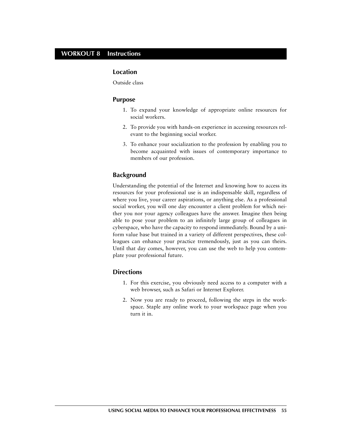### **WORKOUT 8 Instructions**

### **Location**

Outside class

### **Purpose**

- 1. To expand your knowledge of appropriate online resources for social workers.
- 2. To provide you with hands-on experience in accessing resources relevant to the beginning social worker.
- 3. To enhance your socialization to the profession by enabling you to become acquainted with issues of contemporary importance to members of our profession.

### **Background**

Understanding the potential of the Internet and knowing how to access its resources for your professional use is an indispensable skill, regardless of where you live, your career aspirations, or anything else. As a professional social worker, you will one day encounter a client problem for which neither you nor your agency colleagues have the answer. Imagine then being able to pose your problem to an infinitely large group of colleagues in cyberspace, who have the capacity to respond immediately. Bound by a uniform value base but trained in a variety of different perspectives, these colleagues can enhance your practice tremendously, just as you can theirs. Until that day comes, however, you can use the web to help you contemplate your professional future.

### **Directions**

- 1. For this exercise, you obviously need access to a computer with a web browser, such as Safari or Internet Explorer.
- 2. Now you are ready to proceed, following the steps in the workspace. Staple any online work to your workspace page when you turn it in.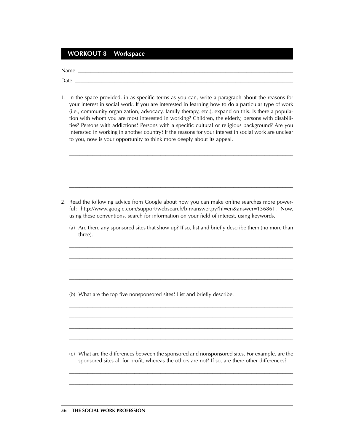# **WORKOUT 8 Workspace**

Name \_\_\_\_\_\_\_\_\_\_\_\_\_\_\_\_\_\_\_\_\_\_\_\_\_\_\_\_\_\_\_\_\_\_\_\_\_\_\_\_\_\_\_\_\_\_\_\_\_\_\_\_\_\_\_\_\_\_\_\_\_\_\_\_\_\_\_\_\_\_\_\_\_\_\_\_\_\_\_\_\_\_\_

Date \_\_\_\_\_\_\_\_\_\_\_\_\_\_\_\_\_\_\_\_\_\_\_\_\_\_\_\_\_\_\_\_\_\_\_\_\_\_\_\_\_\_\_\_\_\_\_\_\_\_\_\_\_\_\_\_\_\_\_\_\_\_\_\_\_\_\_\_\_\_\_\_\_\_\_\_\_\_\_\_\_\_\_

1. In the space provided, in as specific terms as you can, write a paragraph about the reasons for your interest in social work. If you are interested in learning how to do a particular type of work (i.e., community organization, advocacy, family therapy, etc.), expand on this. Is there a population with whom you are most interested in working? Children, the elderly, persons with disabilities? Persons with addictions? Persons with a specific cultural or religious background? Are you interested in working in another country? If the reasons for your interest in social work are unclear to you, now is your opportunity to think more deeply about its appeal.

*\_\_\_\_\_\_\_\_\_\_\_\_\_\_\_\_\_\_\_\_\_\_\_\_\_\_\_\_\_\_\_\_\_\_\_\_\_\_\_\_\_\_\_\_\_\_\_\_\_\_\_\_\_\_\_\_\_\_\_\_\_\_\_\_\_\_\_\_\_\_\_\_\_\_\_\_\_\_\_\_\_\_\_\_\_\_*

*\_\_\_\_\_\_\_\_\_\_\_\_\_\_\_\_\_\_\_\_\_\_\_\_\_\_\_\_\_\_\_\_\_\_\_\_\_\_\_\_\_\_\_\_\_\_\_\_\_\_\_\_\_\_\_\_\_\_\_\_\_\_\_\_\_\_\_\_\_\_\_\_\_\_\_\_\_\_\_\_\_\_\_\_\_\_*

*\_\_\_\_\_\_\_\_\_\_\_\_\_\_\_\_\_\_\_\_\_\_\_\_\_\_\_\_\_\_\_\_\_\_\_\_\_\_\_\_\_\_\_\_\_\_\_\_\_\_\_\_\_\_\_\_\_\_\_\_\_\_\_\_\_\_\_\_\_\_\_\_\_\_\_\_\_\_\_\_\_\_\_\_\_\_*

*\_\_\_\_\_\_\_\_\_\_\_\_\_\_\_\_\_\_\_\_\_\_\_\_\_\_\_\_\_\_\_\_\_\_\_\_\_\_\_\_\_\_\_\_\_\_\_\_\_\_\_\_\_\_\_\_\_\_\_\_\_\_\_\_\_\_\_\_\_\_\_\_\_\_\_\_\_\_\_\_\_\_\_\_\_\_*

- 2. Read the following advice from Google about how you can make online searches more powerful: http://www.google.com/support/websearch/bin/answer.py?hl=en&answer=136861. Now, using these conventions, search for information on your field of interest, using keywords.
	- (a) Are there any sponsored sites that show up? If so, list and briefly describe them (no more than three).

*\_\_\_\_\_\_\_\_\_\_\_\_\_\_\_\_\_\_\_\_\_\_\_\_\_\_\_\_\_\_\_\_\_\_\_\_\_\_\_\_\_\_\_\_\_\_\_\_\_\_\_\_\_\_\_\_\_\_\_\_\_\_\_\_\_\_\_\_\_\_\_\_\_\_\_\_\_\_\_\_\_\_\_\_\_\_*

*\_\_\_\_\_\_\_\_\_\_\_\_\_\_\_\_\_\_\_\_\_\_\_\_\_\_\_\_\_\_\_\_\_\_\_\_\_\_\_\_\_\_\_\_\_\_\_\_\_\_\_\_\_\_\_\_\_\_\_\_\_\_\_\_\_\_\_\_\_\_\_\_\_\_\_\_\_\_\_\_\_\_\_\_\_\_*

*\_\_\_\_\_\_\_\_\_\_\_\_\_\_\_\_\_\_\_\_\_\_\_\_\_\_\_\_\_\_\_\_\_\_\_\_\_\_\_\_\_\_\_\_\_\_\_\_\_\_\_\_\_\_\_\_\_\_\_\_\_\_\_\_\_\_\_\_\_\_\_\_\_\_\_\_\_\_\_\_\_\_\_\_\_\_*

*\_\_\_\_\_\_\_\_\_\_\_\_\_\_\_\_\_\_\_\_\_\_\_\_\_\_\_\_\_\_\_\_\_\_\_\_\_\_\_\_\_\_\_\_\_\_\_\_\_\_\_\_\_\_\_\_\_\_\_\_\_\_\_\_\_\_\_\_\_\_\_\_\_\_\_\_\_\_\_\_\_\_\_\_\_\_*

*\_\_\_\_\_\_\_\_\_\_\_\_\_\_\_\_\_\_\_\_\_\_\_\_\_\_\_\_\_\_\_\_\_\_\_\_\_\_\_\_\_\_\_\_\_\_\_\_\_\_\_\_\_\_\_\_\_\_\_\_\_\_\_\_\_\_\_\_\_\_\_\_\_\_\_\_\_\_\_\_\_\_\_\_\_\_*

*\_\_\_\_\_\_\_\_\_\_\_\_\_\_\_\_\_\_\_\_\_\_\_\_\_\_\_\_\_\_\_\_\_\_\_\_\_\_\_\_\_\_\_\_\_\_\_\_\_\_\_\_\_\_\_\_\_\_\_\_\_\_\_\_\_\_\_\_\_\_\_\_\_\_\_\_\_\_\_\_\_\_\_\_\_\_*

*\_\_\_\_\_\_\_\_\_\_\_\_\_\_\_\_\_\_\_\_\_\_\_\_\_\_\_\_\_\_\_\_\_\_\_\_\_\_\_\_\_\_\_\_\_\_\_\_\_\_\_\_\_\_\_\_\_\_\_\_\_\_\_\_\_\_\_\_\_\_\_\_\_\_\_\_\_\_\_\_\_\_\_\_\_\_*

*\_\_\_\_\_\_\_\_\_\_\_\_\_\_\_\_\_\_\_\_\_\_\_\_\_\_\_\_\_\_\_\_\_\_\_\_\_\_\_\_\_\_\_\_\_\_\_\_\_\_\_\_\_\_\_\_\_\_\_\_\_\_\_\_\_\_\_\_\_\_\_\_\_\_\_\_\_\_\_\_\_\_\_\_\_\_*

(b) What are the top five nonsponsored sites? List and briefly describe.

(c) What are the differences between the sponsored and nonsponsored sites. For example, are the sponsored sites all for profit, whereas the others are not? If so, are there other differences?

*\_\_\_\_\_\_\_\_\_\_\_\_\_\_\_\_\_\_\_\_\_\_\_\_\_\_\_\_\_\_\_\_\_\_\_\_\_\_\_\_\_\_\_\_\_\_\_\_\_\_\_\_\_\_\_\_\_\_\_\_\_\_\_\_\_\_\_\_\_\_\_\_\_\_\_\_\_\_\_\_\_\_\_\_\_\_ \_\_\_\_\_\_\_\_\_\_\_\_\_\_\_\_\_\_\_\_\_\_\_\_\_\_\_\_\_\_\_\_\_\_\_\_\_\_\_\_\_\_\_\_\_\_\_\_\_\_\_\_\_\_\_\_\_\_\_\_\_\_\_\_\_\_\_\_\_\_\_\_\_\_\_\_\_\_\_\_\_\_\_\_\_\_*